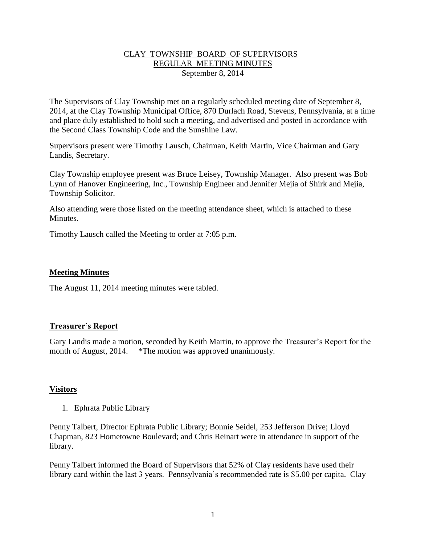## CLAY TOWNSHIP BOARD OF SUPERVISORS REGULAR MEETING MINUTES September 8, 2014

The Supervisors of Clay Township met on a regularly scheduled meeting date of September 8, 2014, at the Clay Township Municipal Office, 870 Durlach Road, Stevens, Pennsylvania, at a time and place duly established to hold such a meeting, and advertised and posted in accordance with the Second Class Township Code and the Sunshine Law.

Supervisors present were Timothy Lausch, Chairman, Keith Martin, Vice Chairman and Gary Landis, Secretary.

Clay Township employee present was Bruce Leisey, Township Manager. Also present was Bob Lynn of Hanover Engineering, Inc., Township Engineer and Jennifer Mejia of Shirk and Mejia, Township Solicitor.

Also attending were those listed on the meeting attendance sheet, which is attached to these **Minutes** 

Timothy Lausch called the Meeting to order at 7:05 p.m.

## **Meeting Minutes**

The August 11, 2014 meeting minutes were tabled.

### **Treasurer's Report**

Gary Landis made a motion, seconded by Keith Martin, to approve the Treasurer's Report for the month of August, 2014. \*The motion was approved unanimously.

### **Visitors**

1. Ephrata Public Library

Penny Talbert, Director Ephrata Public Library; Bonnie Seidel, 253 Jefferson Drive; Lloyd Chapman, 823 Hometowne Boulevard; and Chris Reinart were in attendance in support of the library.

Penny Talbert informed the Board of Supervisors that 52% of Clay residents have used their library card within the last 3 years. Pennsylvania's recommended rate is \$5.00 per capita. Clay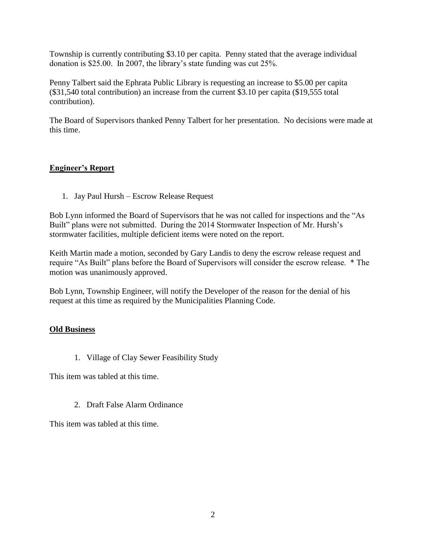Township is currently contributing \$3.10 per capita. Penny stated that the average individual donation is \$25.00. In 2007, the library's state funding was cut 25%.

Penny Talbert said the Ephrata Public Library is requesting an increase to \$5.00 per capita (\$31,540 total contribution) an increase from the current \$3.10 per capita (\$19,555 total contribution).

The Board of Supervisors thanked Penny Talbert for her presentation. No decisions were made at this time.

# **Engineer's Report**

1. Jay Paul Hursh – Escrow Release Request

Bob Lynn informed the Board of Supervisors that he was not called for inspections and the "As Built" plans were not submitted. During the 2014 Stormwater Inspection of Mr. Hursh's stormwater facilities, multiple deficient items were noted on the report.

Keith Martin made a motion, seconded by Gary Landis to deny the escrow release request and require "As Built" plans before the Board of Supervisors will consider the escrow release. \* The motion was unanimously approved.

Bob Lynn, Township Engineer, will notify the Developer of the reason for the denial of his request at this time as required by the Municipalities Planning Code.

# **Old Business**

1. Village of Clay Sewer Feasibility Study

This item was tabled at this time.

2. Draft False Alarm Ordinance

This item was tabled at this time.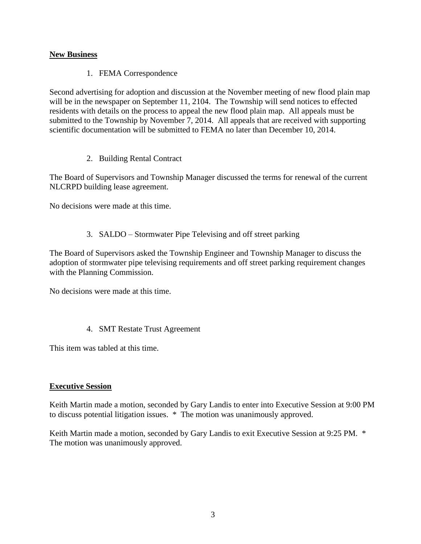# **New Business**

1. FEMA Correspondence

Second advertising for adoption and discussion at the November meeting of new flood plain map will be in the newspaper on September 11, 2104. The Township will send notices to effected residents with details on the process to appeal the new flood plain map. All appeals must be submitted to the Township by November 7, 2014. All appeals that are received with supporting scientific documentation will be submitted to FEMA no later than December 10, 2014.

2. Building Rental Contract

The Board of Supervisors and Township Manager discussed the terms for renewal of the current NLCRPD building lease agreement.

No decisions were made at this time.

3. SALDO – Stormwater Pipe Televising and off street parking

The Board of Supervisors asked the Township Engineer and Township Manager to discuss the adoption of stormwater pipe televising requirements and off street parking requirement changes with the Planning Commission.

No decisions were made at this time.

4. SMT Restate Trust Agreement

This item was tabled at this time.

# **Executive Session**

Keith Martin made a motion, seconded by Gary Landis to enter into Executive Session at 9:00 PM to discuss potential litigation issues. \* The motion was unanimously approved.

Keith Martin made a motion, seconded by Gary Landis to exit Executive Session at 9:25 PM. \* The motion was unanimously approved.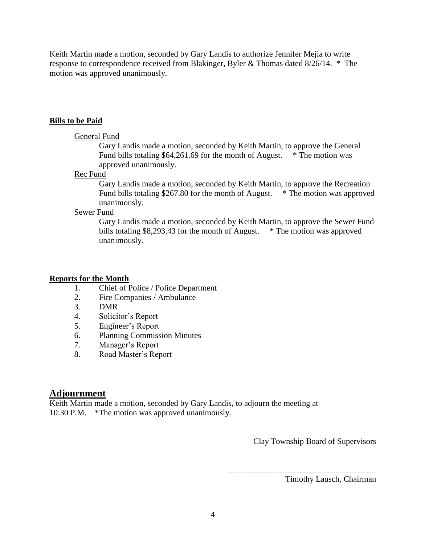Keith Martin made a motion, seconded by Gary Landis to authorize Jennifer Mejia to write response to correspondence received from Blakinger, Byler & Thomas dated 8/26/14. \* The motion was approved unanimously.

#### **Bills to be Paid**

#### General Fund

Gary Landis made a motion, seconded by Keith Martin, to approve the General Fund bills totaling \$64,261.69 for the month of August. \* The motion was approved unanimously.

#### Rec Fund

Gary Landis made a motion, seconded by Keith Martin, to approve the Recreation Fund bills totaling \$267.80 for the month of August. \* The motion was approved unanimously.

## Sewer Fund

Gary Landis made a motion, seconded by Keith Martin, to approve the Sewer Fund bills totaling \$8,293.43 for the month of August. \* The motion was approved unanimously.

### **Reports for the Month**

- 1. Chief of Police / Police Department
- 2. Fire Companies / Ambulance
- 3. DMR
- 4. Solicitor's Report
- 5. Engineer's Report
- 6. Planning Commission Minutes
- 7. Manager's Report
- 8. Road Master's Report

# **Adjournment**

Keith Martin made a motion, seconded by Gary Landis, to adjourn the meeting at 10:30 P.M. \*The motion was approved unanimously.

Clay Township Board of Supervisors

\_\_\_\_\_\_\_\_\_\_\_\_\_\_\_\_\_\_\_\_\_\_\_\_\_\_\_\_\_\_\_\_\_\_\_\_

Timothy Lausch, Chairman